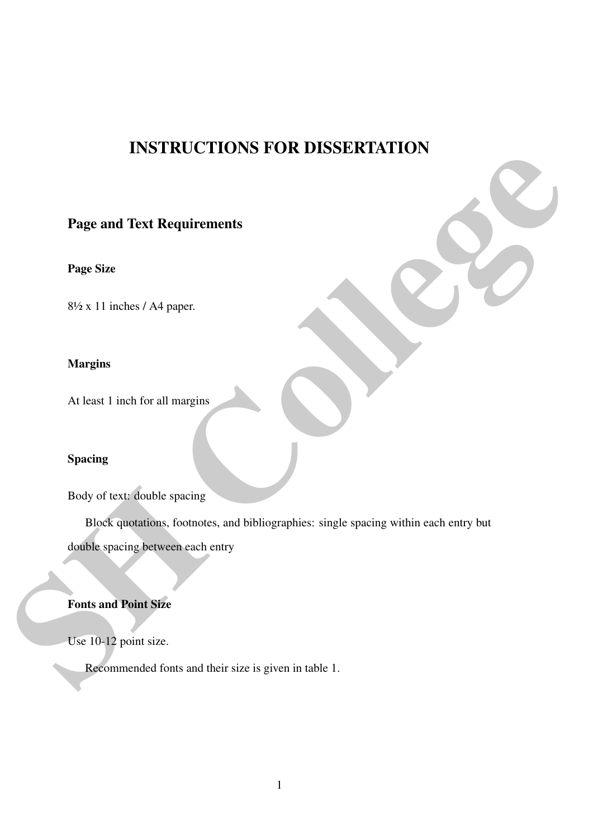## INSTRUCTIONS FOR DISSERTATION

## Page and Text Requirements

#### Page Size

8½ x 11 inches / A4 paper.

#### Margins

At least 1 inch for all margins

### Spacing

Body of text: double spacing

First STACE ETOOS FOR DISDENTATION<br>
Page and Text Requirements<br>
Page Size<br>  $8\frac{1}{2}$  at 11 inches / A4 paper.<br>
Margins<br>
At least 1 inch for all margins<br>
Spacing<br>
Block questions, formous, and bibliographies: single spaci Block quotations, footnotes, and bibliographies: single spacing within each entry but double spacing between each entry

#### Fonts and Point Size

Use 10-12 point size.

Recommended fonts and their size is given in table 1.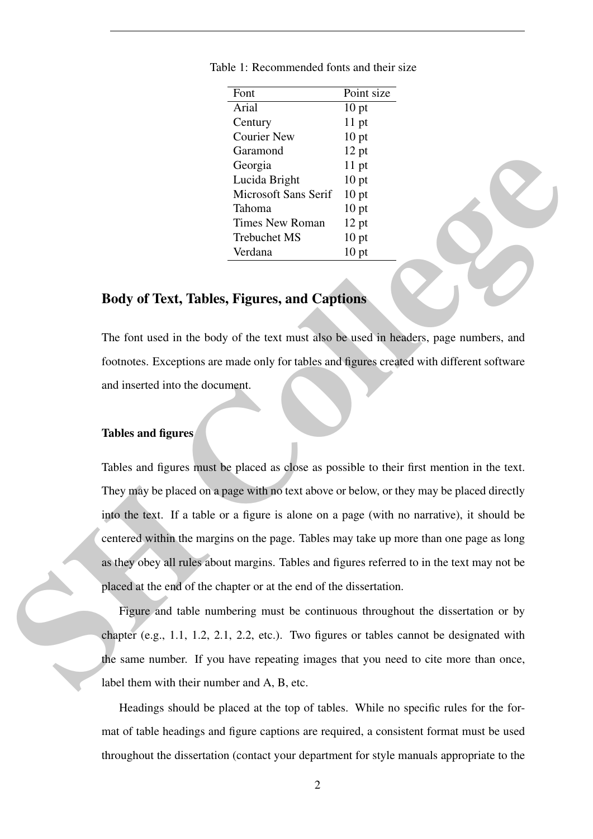| Font                        | Point size       |
|-----------------------------|------------------|
| Arial                       | 10 pt            |
| Century                     | $11$ pt          |
| <b>Courier New</b>          | 10 <sub>pt</sub> |
| Garamond                    | $12$ pt          |
| Georgia                     | $11$ pt          |
| Lucida Bright               | $10$ pt          |
| <b>Microsoft Sans Serif</b> | $10$ pt          |
| Tahoma                      | $10$ pt          |
| Times New Roman             | $12$ pt          |
| <b>Trebuchet MS</b>         | 10 <sub>pt</sub> |
| Verdana                     | 10 <sub>pt</sub> |

Table 1: Recommended fonts and their size

#### Body of Text, Tables, Figures, and Captions

The font used in the body of the text must also be used in headers, page numbers, and footnotes. Exceptions are made only for tables and figures created with different software and inserted into the document.

#### Tables and figures

Contained<br>
Contains and the contained and the state of the state of the Michael Mission State Science of the Michael Mission Science of the most of the most of the most of the most of the most of the state of the state wi Tables and figures must be placed as close as possible to their first mention in the text. They may be placed on a page with no text above or below, or they may be placed directly into the text. If a table or a figure is alone on a page (with no narrative), it should be centered within the margins on the page. Tables may take up more than one page as long as they obey all rules about margins. Tables and figures referred to in the text may not be placed at the end of the chapter or at the end of the dissertation.

Figure and table numbering must be continuous throughout the dissertation or by chapter (e.g., 1.1, 1.2, 2.1, 2.2, etc.). Two figures or tables cannot be designated with the same number. If you have repeating images that you need to cite more than once, label them with their number and A, B, etc.

Headings should be placed at the top of tables. While no specific rules for the format of table headings and figure captions are required, a consistent format must be used throughout the dissertation (contact your department for style manuals appropriate to the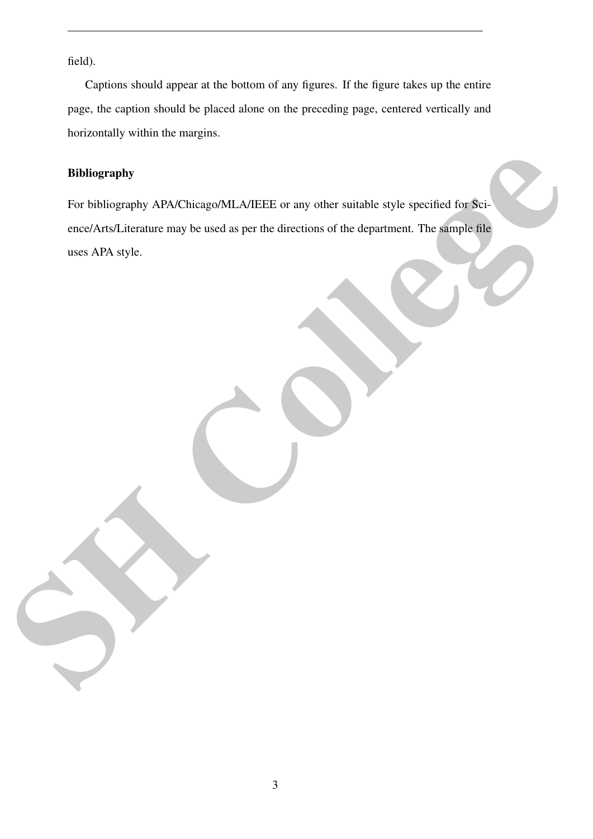field).

Captions should appear at the bottom of any figures. If the figure takes up the entire page, the caption should be placed alone on the preceding page, centered vertically and horizontally within the margins.

#### Bibliography

Bibliography<br>
Fur bibliography<br>
APA/Chicago/MLA/ILELI or any other suitable style specified for Sex-<br>
ence/APA style.<br>
uses APA style. For bibliography APA/Chicago/MLA/IEEE or any other suitable style specified for Science/Arts/Literature may be used as per the directions of the department. The sample file uses APA style.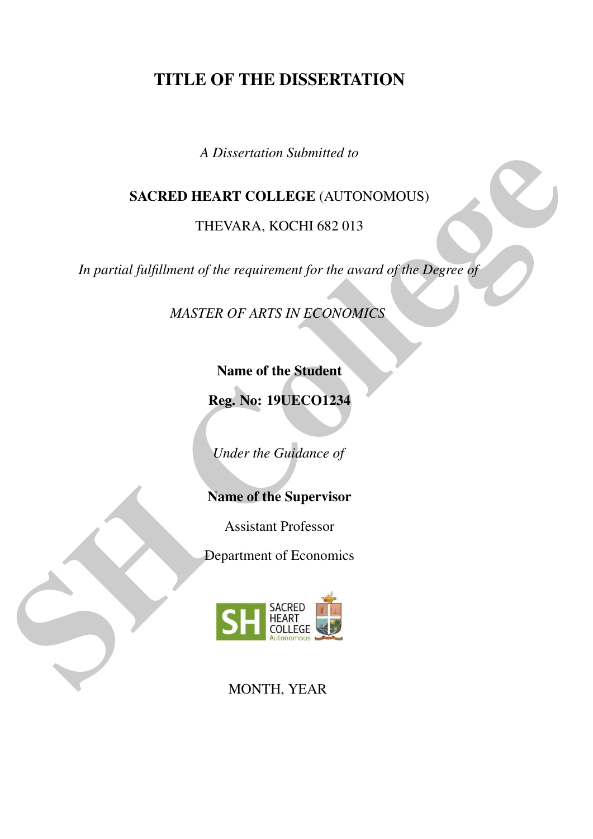## TITLE OF THE DISSERTATION

*A Dissertation Submitted to*

## SACRED HEART COLLEGE (AUTONOMOUS)

THEVARA, KOCHI 682 013

*In partial fulfillment of the requirement for the award of the Degree of*

*MASTER OF ARTS IN ECONOMICS*

Name of the Student Reg. No: 19UECO1234

*Under the Guidance of*

Name of the Supervisor

Assistant Professor

Department of Economics



MONTH, YEAR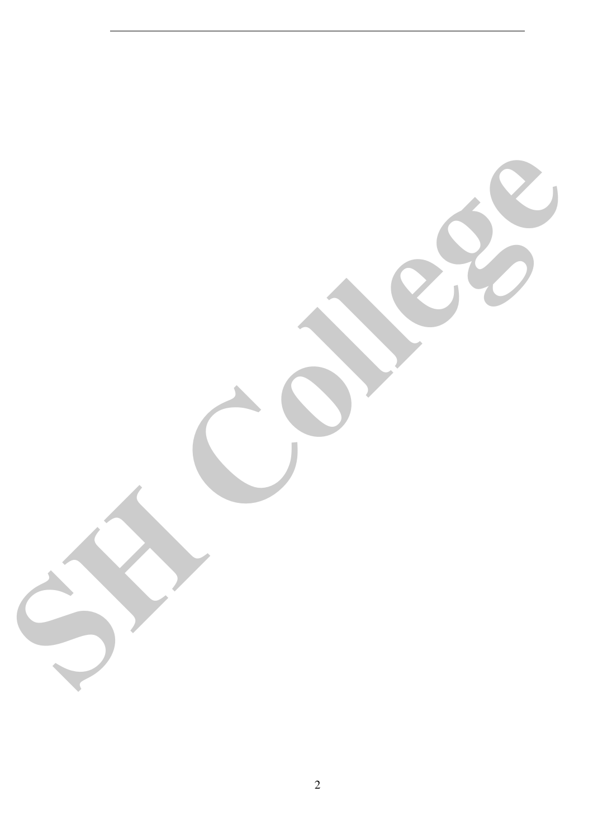SH Colege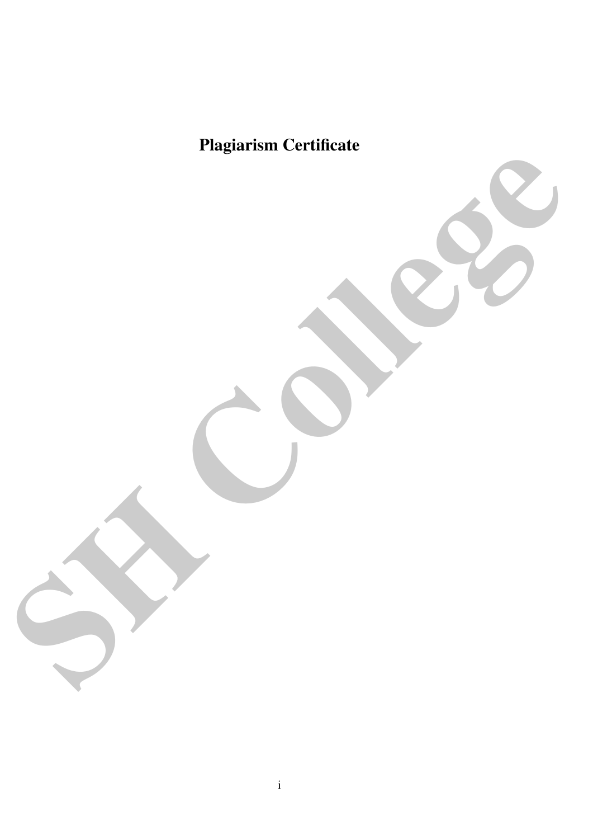# SH Colege Plagiarism Certificate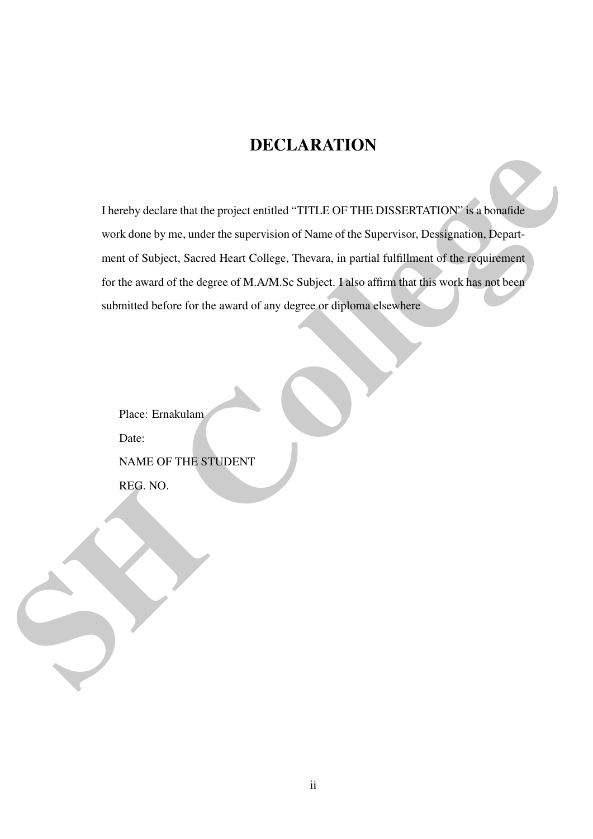## DECLARATION

Thereby declare that the project entitled "TITLE OF THE DISSERTATION" is a bonarial<br>work done by me, under the supervision of Name of the Supervisor, Designation, Depart-<br>ment of Subject, Raced Heart College, Theown, in pa I hereby declare that the project entitled "TITLE OF THE DISSERTATION" is a bonafide work done by me, under the supervision of Name of the Supervisor, Dessignation, Department of Subject, Sacred Heart College, Thevara, in partial fulfillment of the requirement for the award of the degree of M.A/M.Sc Subject. I also affirm that this work has not been submitted before for the award of any degree or diploma elsewhere

Place: Ernakulam Date: NAME OF THE STUDENT REG. NO.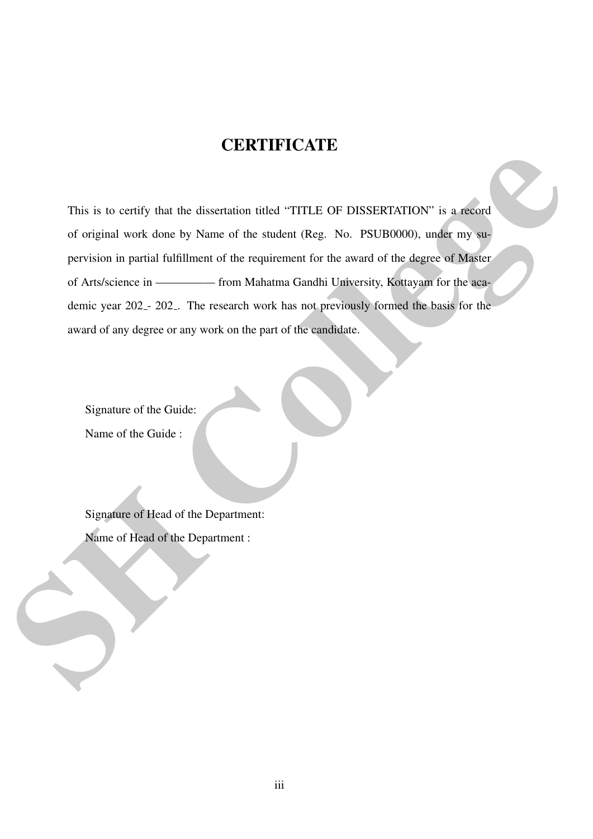## **CERTIFICATE**

This is to certify that the dissertation titled "TITLE OF DISSERTATION" is a record<br>of original work done by Name of the suddent (Reg. No. PSLBOOD), under my sug-<br>persision in partial fultilities of the capital function of This is to certify that the dissertation titled "TITLE OF DISSERTATION" is a record of original work done by Name of the student (Reg. No. PSUB0000), under my supervision in partial fulfillment of the requirement for the award of the degree of Master of Arts/science in ————— from Mahatma Gandhi University, Kottayam for the academic year 202<sub>-</sub> 202<sub>-</sub>. The research work has not previously formed the basis for the award of any degree or any work on the part of the candidate.

Signature of the Guide: Name of the Guide :

Signature of Head of the Department: Name of Head of the Department :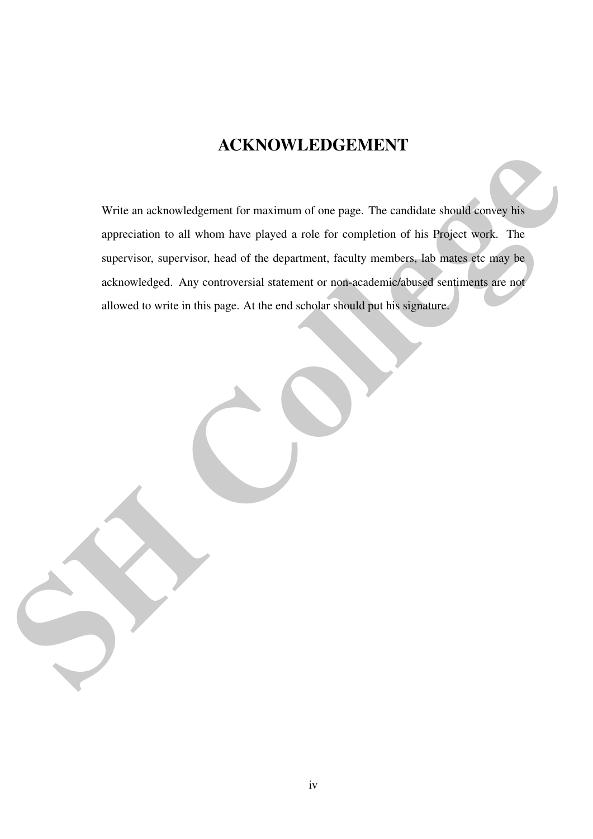## ACKNOWLEDGEMENT

Writs an acknowledgement for maximum of one page. The candidate chealal comey his<br>upreciation to all whom have played a rele for completion of his Project work. The<br>supervisor, supervisor, head of the department, finally m Write an acknowledgement for maximum of one page. The candidate should convey his appreciation to all whom have played a role for completion of his Project work. The supervisor, supervisor, head of the department, faculty members, lab mates etc may be acknowledged. Any controversial statement or non-academic/abused sentiments are not allowed to write in this page. At the end scholar should put his signature.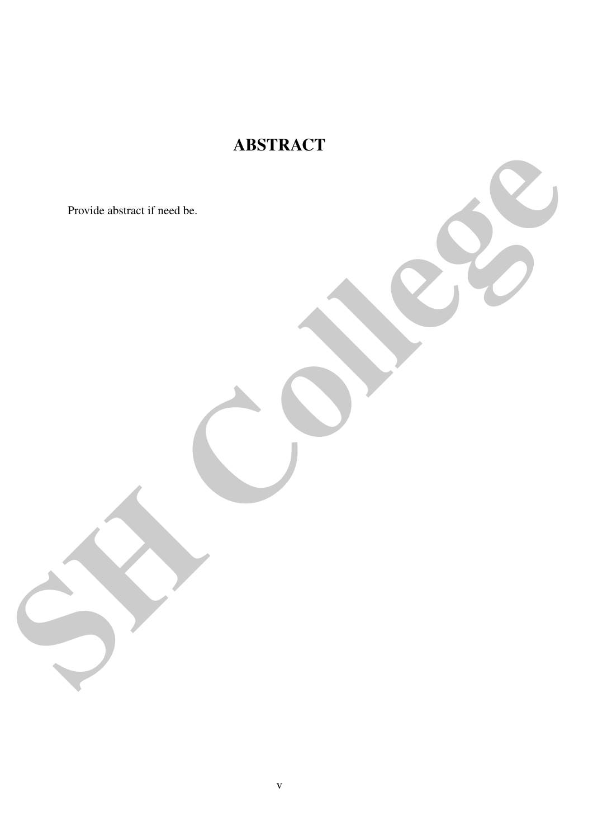# **ABSTRACT**

**SH COLLEGE** Provide abstract if need be.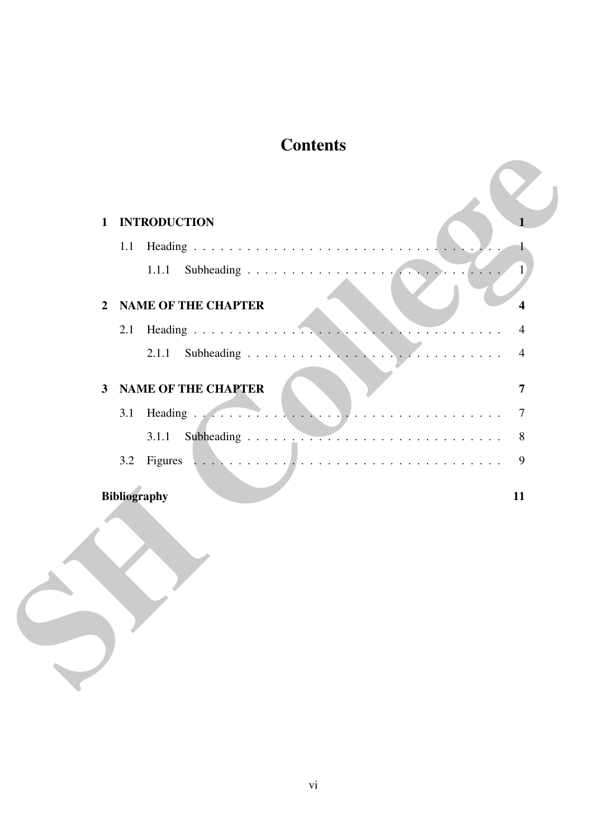# **Contents**

|                | Сопспе                     |    |
|----------------|----------------------------|----|
| $\mathbf{1}$   | <b>INTRODUCTION</b>        |    |
|                | 1.1                        |    |
|                | 1.1.1                      |    |
| $\overline{2}$ | <b>NAME OF THE CHAPTER</b> |    |
|                | 2.1                        |    |
|                | 2.1.1                      | 4  |
| $\mathbf{3}$   | <b>NAME OF THE CHAPTER</b> | 7  |
|                |                            | 7  |
|                | 3.1.1                      | 8  |
|                |                            | 9  |
|                | <b>Bibliography</b>        | 11 |
|                |                            |    |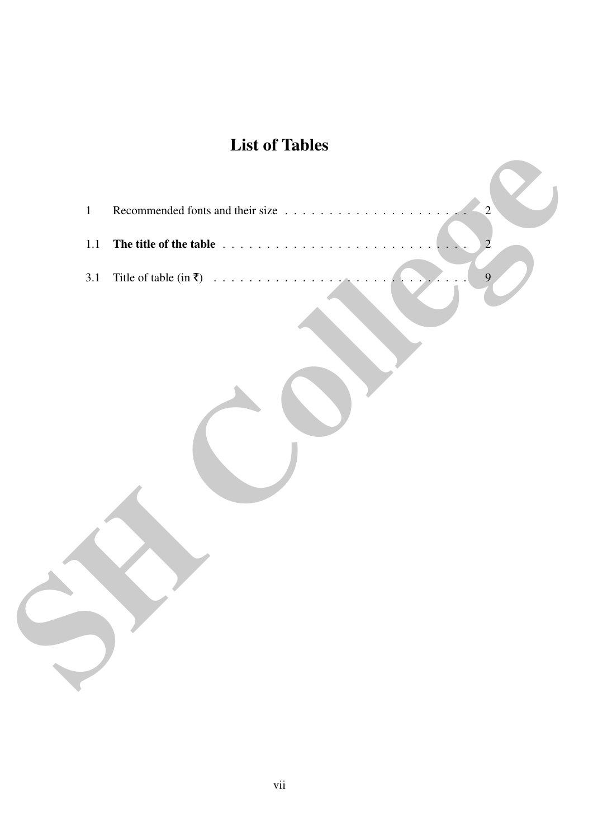# List of Tables

|              | LIDE OF THOICD                         |
|--------------|----------------------------------------|
|              |                                        |
| $\mathbf{1}$ | $\overline{2}$                         |
| $1.1\,$      | $\overline{2}$<br>$\ddot{\phantom{a}}$ |
| 3.1          | $\overline{9}$                         |
|              |                                        |
|              |                                        |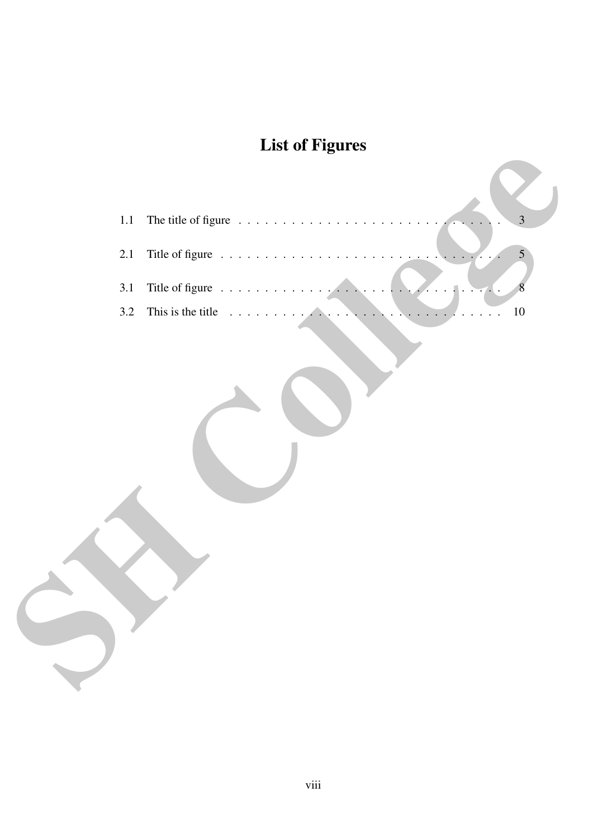# List of Figures

|         | mot of 1 igures                   |
|---------|-----------------------------------|
|         |                                   |
| $1.1\,$ | $\mathfrak{Z}$                    |
| $2.1\,$ | 5                                 |
| $3.1\,$ | $\mathbf{1.77.}$                  |
| $3.2\,$ | $10\,$<br>$\cdot$ $\cdot$ $\cdot$ |
|         |                                   |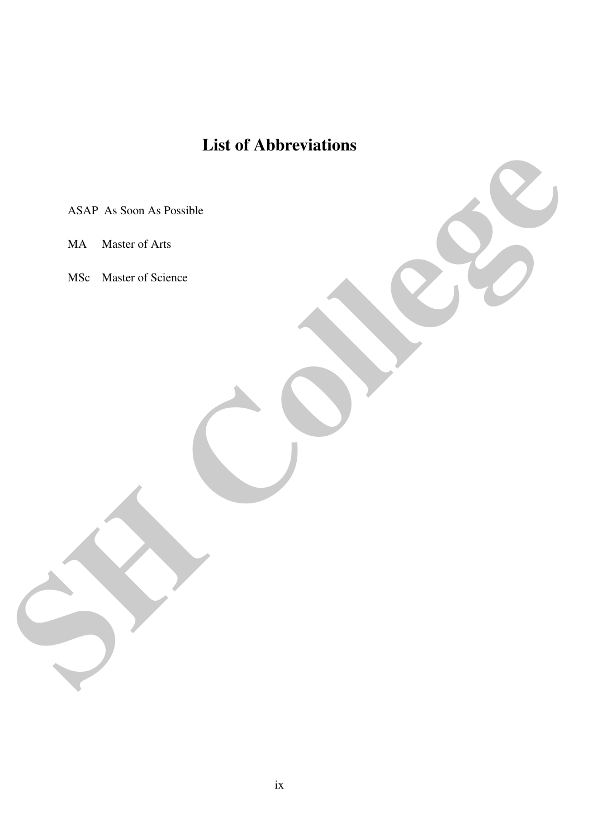# List of Abbreviations

ASAP AS SIGN AS Providing.<br>MA Master of Science<br>MS: Master of Science ASAP As Soon As Possible

MA Master of Arts

MSc Master of Science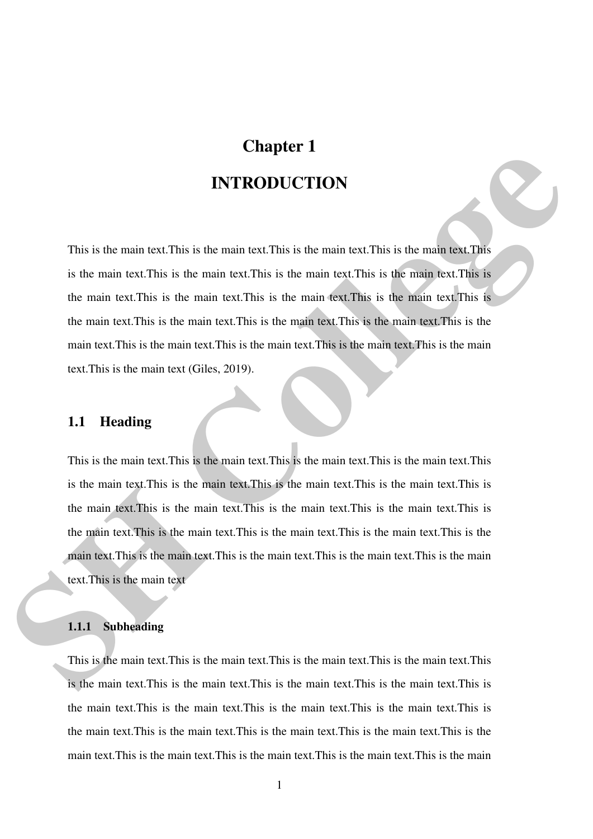## Chapter 1

## INTRODUCTION

State College College College College College College College College College College College College College College College College College College College College College College College College College College College This is the main text.This is the main text.This is the main text.This is the main text.This is the main text.This is the main text.This is the main text.This is the main text.This is the main text.This is the main text.This is the main text.This is the main text.This is the main text.This is the main text.This is the main text.This is the main text.This is the main text.This is the main text.This is the main text.This is the main text.This is the main text.This is the main text (Giles, 2019).

#### 1.1 Heading

This is the main text.This is the main text.This is the main text.This is the main text.This is the main text.This is the main text.This is the main text.This is the main text.This is the main text.This is the main text.This is the main text.This is the main text.This is the main text.This is the main text.This is the main text.This is the main text.This is the main text.This is the main text.This is the main text.This is the main text.This is the main text.This is the main text

#### 1.1.1 Subheading

This is the main text.This is the main text.This is the main text.This is the main text.This is the main text.This is the main text.This is the main text.This is the main text.This is the main text.This is the main text.This is the main text.This is the main text.This is the main text.This is the main text.This is the main text.This is the main text.This is the main text.This is the main text.This is the main text.This is the main text.This is the main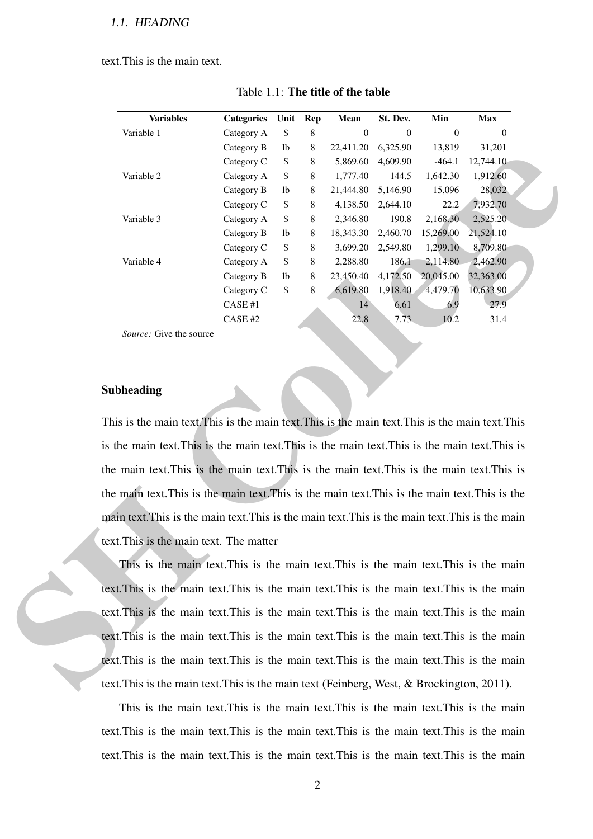text.This is the main text.

| <b>Variables</b>                                                                                 | <b>Categories</b> | Unit Rep |   | Mean             | St. Dev.         | Min              | Max       |
|--------------------------------------------------------------------------------------------------|-------------------|----------|---|------------------|------------------|------------------|-----------|
| Variable 1                                                                                       | Category A        | \$       | 8 | $\boldsymbol{0}$ | $\boldsymbol{0}$ | $\boldsymbol{0}$ | $\Omega$  |
|                                                                                                  | Category B        | lb       | 8 | 22,411.20        | 6,325.90         | 13,819           | 31,201    |
|                                                                                                  | Category C        | \$       | 8 | 5,869.60         | 4,609.90         | $-464.1$         | 12,744.10 |
| Variable 2                                                                                       | Category A        | \$       | 8 | 1,777.40         | 144.5            | 1,642.30         | 1,912.60  |
|                                                                                                  | Category B        | lb       | 8 | 21,444.80        | 5,146.90         | 15,096           | 28,032    |
|                                                                                                  | Category C        | \$       | 8 | 4,138.50         | 2,644.10         | 22.2             | 7,932.70  |
| Variable 3                                                                                       | Category A        | \$       | 8 | 2,346.80         | 190.8            | 2,168.30         | 2,525.20  |
|                                                                                                  | Category B        | lb       | 8 | 18,343.30        | 2,460.70         | 15,269.00        | 21,524.10 |
|                                                                                                  | Category C        | \$       | 8 | 3,699.20         | 2,549.80         | 1,299.10         | 8,709.80  |
| Variable 4                                                                                       | Category A        | \$       | 8 | 2,288.80         | 186.1            | 2,114.80         | 2,462.90  |
|                                                                                                  | Category B        | lb       | 8 | 23,450.40        | 4,172.50         | 20,045.00        | 32,363.00 |
|                                                                                                  | Category C        | \$       | 8 | 6,619.80         | 1,918.40         | 4,479.70         | 10,633.90 |
|                                                                                                  | CASE #1           |          |   | 14               | 6.61             | 6.9              | 27.9      |
| Source: Give the source                                                                          | CASE #2           |          |   | 22.8             | 7.73             | 10.2             | 31.4      |
| <b>Subheading</b>                                                                                |                   |          |   |                  |                  |                  |           |
|                                                                                                  |                   |          |   |                  |                  |                  |           |
| This is the main text. This is the main text. This is the main text. This is the main text. This |                   |          |   |                  |                  |                  |           |
| is the main text. This is the main text. This is the main text. This is the main text. This is   |                   |          |   |                  |                  |                  |           |
| the main text. This is the main text. This is the main text. This is the main text. This is      |                   |          |   |                  |                  |                  |           |
| the main text. This is the main text. This is the main text. This is the main text. This is the  |                   |          |   |                  |                  |                  |           |
| main text. This is the main text. This is the main text. This is the main text. This is the main |                   |          |   |                  |                  |                  |           |
| text. This is the main text. The matter                                                          |                   |          |   |                  |                  |                  |           |
| This is the main text. This is the main text. This is the main text. This is the main            |                   |          |   |                  |                  |                  |           |
| text. This is the main text. This is the main text. This is the main text. This is the main      |                   |          |   |                  |                  |                  |           |
| text. This is the main text. This is the main text. This is the main text. This is the main      |                   |          |   |                  |                  |                  |           |
| text. This is the main text. This is the main text. This is the main text. This is the main      |                   |          |   |                  |                  |                  |           |
| text. This is the main text. This is the main text. This is the main text. This is the main      |                   |          |   |                  |                  |                  |           |
| text. This is the main text. This is the main text (Feinberg, West, $\&$ Brockington, 2011).     |                   |          |   |                  |                  |                  |           |

Table 1.1: The title of the table

#### Subheading

This is the main text.This is the main text.This is the main text.This is the main text.This is the main text.This is the main text.This is the main text.This is the main text.This is the main text.This is the main text.This is the main text.This is the main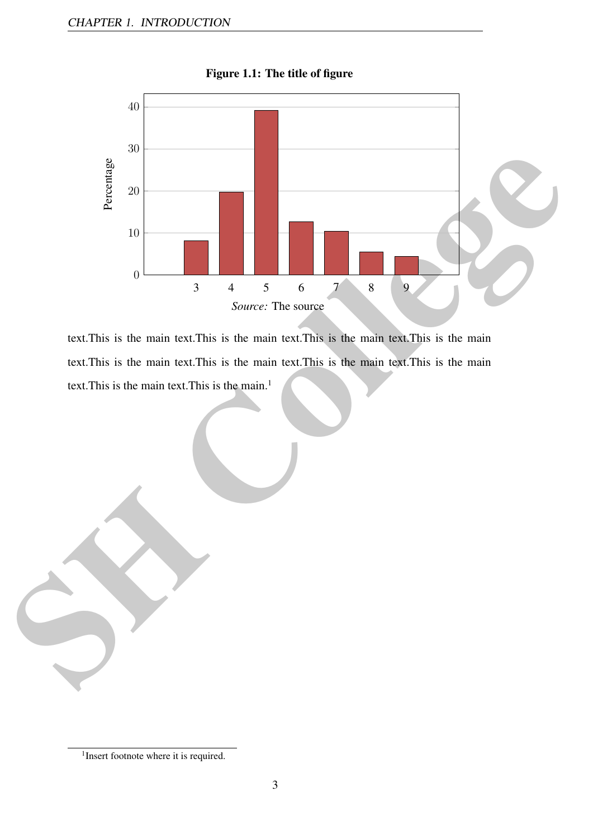

Figure 1.1: The title of figure

text.This is the main text.This is the main text.This is the main text.This is the main text.This is the main text.This is the main text.This is the main text.This is the main text. This is the main text. This is the main.<sup>1</sup>

<sup>&</sup>lt;sup>1</sup> Insert footnote where it is required.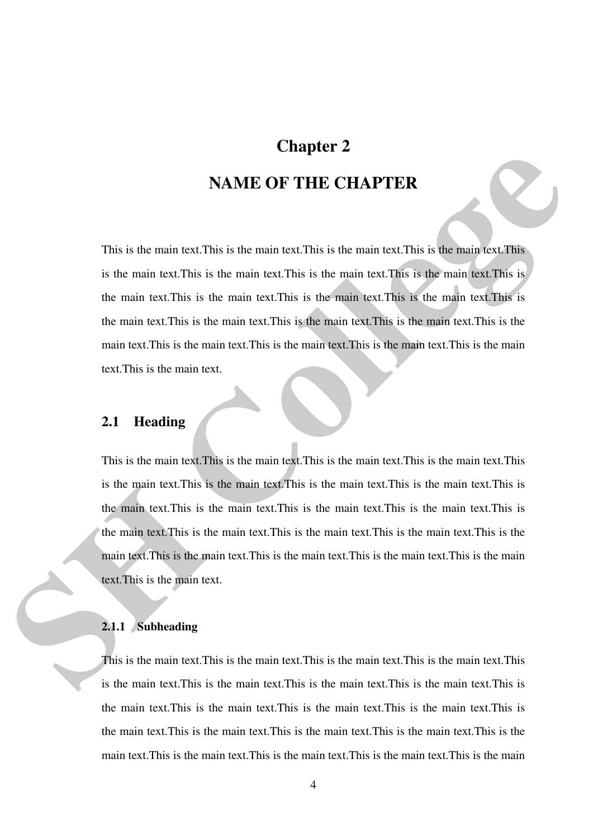## Chapter 2

## NAME OF THE CHAPTER

This is the main text.This is the main text.This is the main text.This is the main text.This is the main text.This is the main text.This is the main text.This is the main text.This is the main text.This is the main text.This is the main text.This is the main text.This is the main text.This is the main text.This is the main text.This is the main text.This is the main text.This is the main text.This is the main text.This is the main text.This is the main text.This is the main text.

#### 2.1 Heading

STAME OF THE CHAPTER<br>
This is the main text. This is the main text. This is the main text. This is the main text.<br>
This is the main text. This is the main text. This is the main text. This is the main text.<br>
the main text. This is the main text.This is the main text.This is the main text.This is the main text.This is the main text.This is the main text.This is the main text.This is the main text.This is the main text.This is the main text.This is the main text.This is the main text.This is the main text.This is the main text.This is the main text.This is the main text.This is the main text.This is the main text.This is the main text.This is the main text.This is the main text.This is the main text.

#### 2.1.1 Subheading

This is the main text.This is the main text.This is the main text.This is the main text.This is the main text.This is the main text.This is the main text.This is the main text.This is the main text.This is the main text.This is the main text.This is the main text.This is the main text.This is the main text.This is the main text.This is the main text.This is the main text.This is the main text.This is the main text.This is the main text.This is the main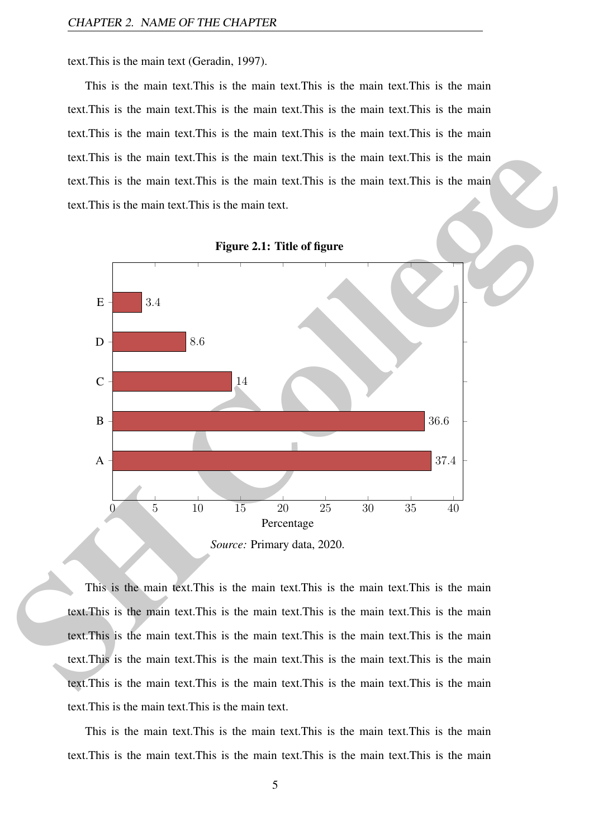text.This is the main text (Geradin, 1997).

This is the main text.This is the main text.This is the main text.This is the main text.This is the main text.This is the main text.This is the main text.This is the main text.This is the main text.This is the main text.This is the main text.This is the main text.This is the main text.This is the main text.This is the main text.This is the main text.This is the main text.This is the main text.This is the main text.This is the main text.This is the main text.This is the main text.





This is the main text.This is the main text.This is the main text.This is the main text.This is the main text.This is the main text.This is the main text.This is the main text.This is the main text.This is the main text.This is the main text.This is the main text.This is the main text.This is the main text.This is the main text.This is the main text.This is the main text.This is the main text.This is the main text.This is the main text.This is the main text.This is the main text.

This is the main text.This is the main text.This is the main text.This is the main text.This is the main text.This is the main text.This is the main text.This is the main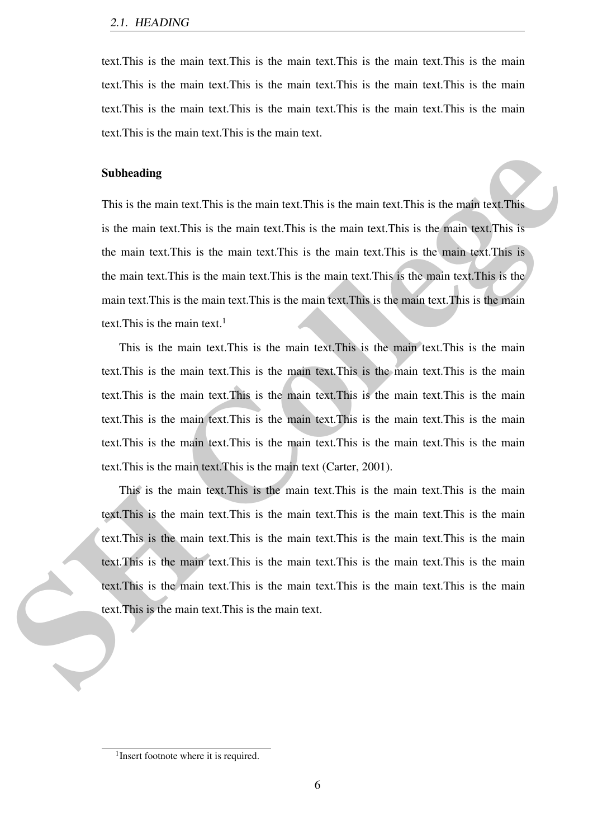text.This is the main text.This is the main text.This is the main text.This is the main text.This is the main text.This is the main text.This is the main text.This is the main text.This is the main text.This is the main text.This is the main text.This is the main text.This is the main text.This is the main text.

#### Subheading

This is the main text.This is the main text.This is the main text.This is the main text.This is the main text.This is the main text.This is the main text.This is the main text.This is the main text.This is the main text.This is the main text.This is the main text.This is the main text.This is the main text.This is the main text.This is the main text.This is the main text.This is the main text.This is the main text.This is the main text.This is the main text. This is the main text.<sup>1</sup>

Subheading<br>
This is the main text. This is the main text. This is the main text. This is the numin text. This is the main text. This is the main text. This is the main text. This is the main text. This is the main text. T This is the main text.This is the main text.This is the main text.This is the main text.This is the main text.This is the main text.This is the main text.This is the main text.This is the main text.This is the main text.This is the main text.This is the main text.This is the main text.This is the main text.This is the main text.This is the main text.This is the main text.This is the main text.This is the main text.This is the main text.This is the main text.This is the main text (Carter, 2001).

This is the main text.This is the main text.This is the main text.This is the main text.This is the main text.This is the main text.This is the main text.This is the main text.This is the main text.This is the main text.This is the main text.This is the main text.This is the main text.This is the main text.This is the main text.This is the main text.This is the main text.This is the main text.This is the main text.This is the main text.This is the main text.This is the main text.

<sup>&</sup>lt;sup>1</sup> Insert footnote where it is required.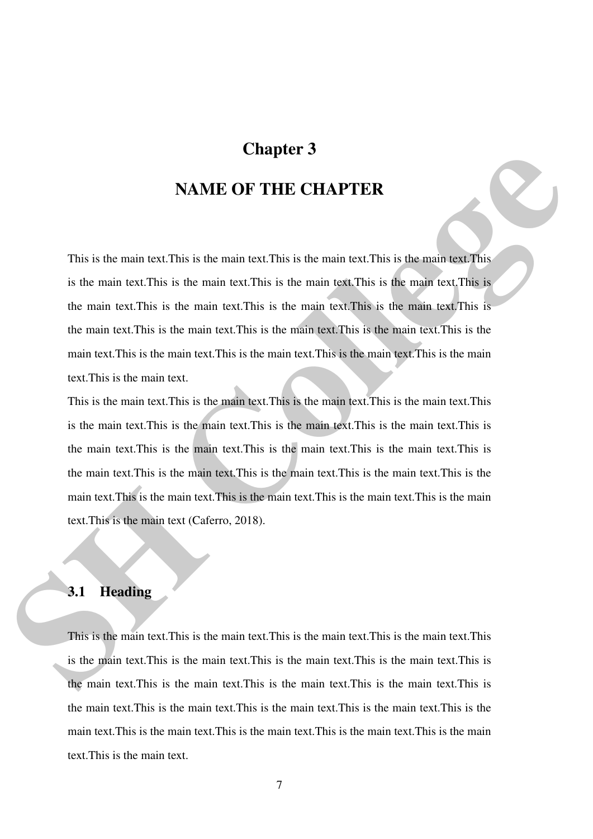## Chapter 3

## NAME OF THE CHAPTER

**CHAPTER**<br>
STANE OF THE CHAPTER<br>
This is the main text.<br>
This is the main text. This is the main text. This is the main text.<br>
This is the main text. This is the main text. This is the main text. This is the main text.<br>
Th This is the main text.This is the main text.This is the main text.This is the main text.This is the main text.This is the main text.This is the main text.This is the main text.This is the main text.This is the main text.This is the main text.This is the main text.This is the main text.This is the main text.This is the main text.This is the main text.This is the main text.This is the main text.This is the main text.This is the main text.This is the main text.This is the main text.

This is the main text.This is the main text.This is the main text.This is the main text.This is the main text.This is the main text.This is the main text.This is the main text.This is the main text.This is the main text.This is the main text.This is the main text.This is the main text.This is the main text.This is the main text.This is the main text.This is the main text.This is the main text.This is the main text.This is the main text.This is the main text.This is the main text (Caferro, 2018).

## 3.1 Heading

This is the main text.This is the main text.This is the main text.This is the main text.This is the main text.This is the main text.This is the main text.This is the main text.This is the main text.This is the main text.This is the main text.This is the main text.This is the main text.This is the main text.This is the main text.This is the main text.This is the main text.This is the main text.This is the main text.This is the main text.This is the main text.This is the main text.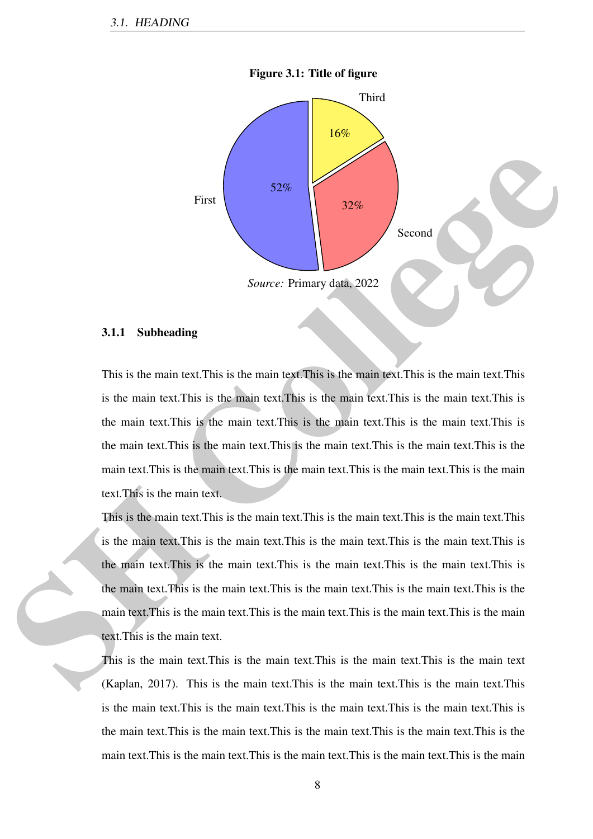

Figure 3.1: Title of figure

#### 3.1.1 Subheading

This is the main text.This is the main text.This is the main text.This is the main text.This is the main text.This is the main text.This is the main text.This is the main text.This is the main text.This is the main text.This is the main text.This is the main text.This is the main text.This is the main text.This is the main text.This is the main text.This is the main text.This is the main text.This is the main text.This is the main text.This is the main text.This is the main text.

This is the main text.This is the main text.This is the main text.This is the main text.This is the main text.This is the main text.This is the main text.This is the main text.This is the main text.This is the main text.This is the main text.This is the main text.This is the main text.This is the main text.This is the main text.This is the main text.This is the main text.This is the main text.This is the main text.This is the main text.This is the main text.This is the main text.

This is the main text.This is the main text.This is the main text.This is the main text (Kaplan, 2017). This is the main text.This is the main text.This is the main text.This is the main text.This is the main text.This is the main text.This is the main text.This is the main text.This is the main text.This is the main text.This is the main text.This is the main text.This is the main text.This is the main text.This is the main text.This is the main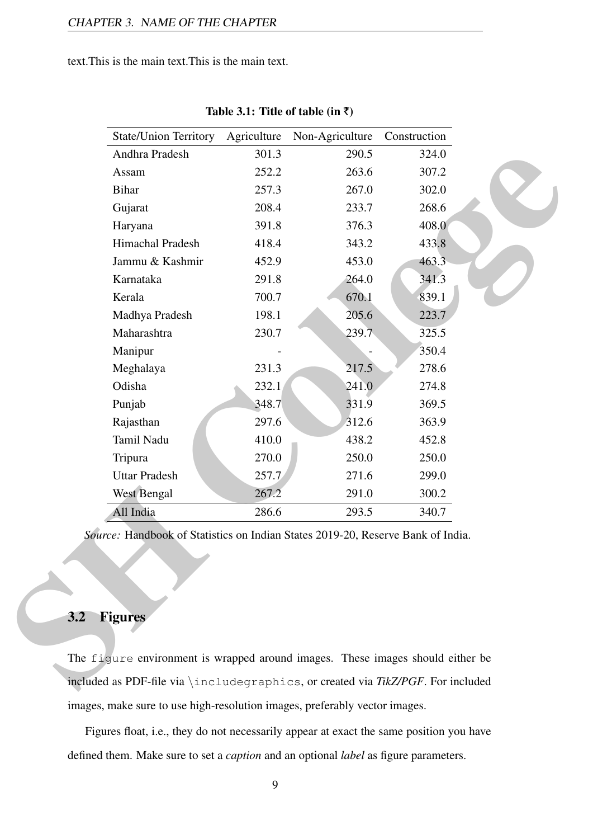text.This is the main text.This is the main text.

|     | <b>State/Union Territory</b>                                                                      | Agriculture | Non-Agriculture | Construction |  |
|-----|---------------------------------------------------------------------------------------------------|-------------|-----------------|--------------|--|
|     | Andhra Pradesh                                                                                    | 301.3       | 290.5           | 324.0        |  |
|     | Assam                                                                                             | 252.2       | 263.6           | 307.2        |  |
|     | <b>Bihar</b>                                                                                      | 257.3       | 267.0           | 302.0        |  |
|     | Gujarat                                                                                           | 208.4       | 233.7           | 268.6        |  |
|     | Haryana                                                                                           | 391.8       | 376.3           | 408.0        |  |
|     | Himachal Pradesh                                                                                  | 418.4       | 343.2           | 433.8        |  |
|     | Jammu & Kashmir                                                                                   | 452.9       | 453.0           | 463.3        |  |
|     | Karnataka                                                                                         | 291.8       | 264.0           | 341.3        |  |
|     | Kerala                                                                                            | 700.7       | 670.1           | 839.1        |  |
|     | Madhya Pradesh                                                                                    | 198.1       | 205.6           | 223.7        |  |
|     | Maharashtra                                                                                       | 230.7       | 239.7           | 325.5        |  |
|     | Manipur                                                                                           |             |                 | 350.4        |  |
|     | Meghalaya                                                                                         | 231.3       | 217.5           | 278.6        |  |
|     | Odisha                                                                                            | 232.1       | 241.0           | 274.8        |  |
|     | Punjab                                                                                            | 348.7       | 331.9           | 369.5        |  |
|     | Rajasthan                                                                                         | 297.6       | 312.6           | 363.9        |  |
|     | Tamil Nadu                                                                                        | 410.0       | 438.2           | 452.8        |  |
|     | Tripura                                                                                           | 270.0       | 250.0           | 250.0        |  |
|     | <b>Uttar Pradesh</b>                                                                              | 257.7       | 271.6           | 299.0        |  |
|     | <b>West Bengal</b>                                                                                | 267.2       | 291.0           | 300.2        |  |
|     | All India                                                                                         | 286.6       | 293.5           | 340.7        |  |
| 3.2 | Source: Handbook of Statistics on Indian States 2019-20, Reserve Bank of India.<br><b>Figures</b> |             |                 |              |  |
|     | The figure environment is wrapped around images. These images should either be                    |             |                 |              |  |
|     | included as PDF-file via \includegraphics, or created via TikZ/PGF. For included                  |             |                 |              |  |

Table 3.1: Title of table (in  $\bar{z}$ )

## 3.2 Figures

The figure environment is wrapped around images. These images should either be included as PDF-file via \includegraphics, or created via *TikZ/PGF*. For included images, make sure to use high-resolution images, preferably vector images.

Figures float, i.e., they do not necessarily appear at exact the same position you have defined them. Make sure to set a *caption* and an optional *label* as figure parameters.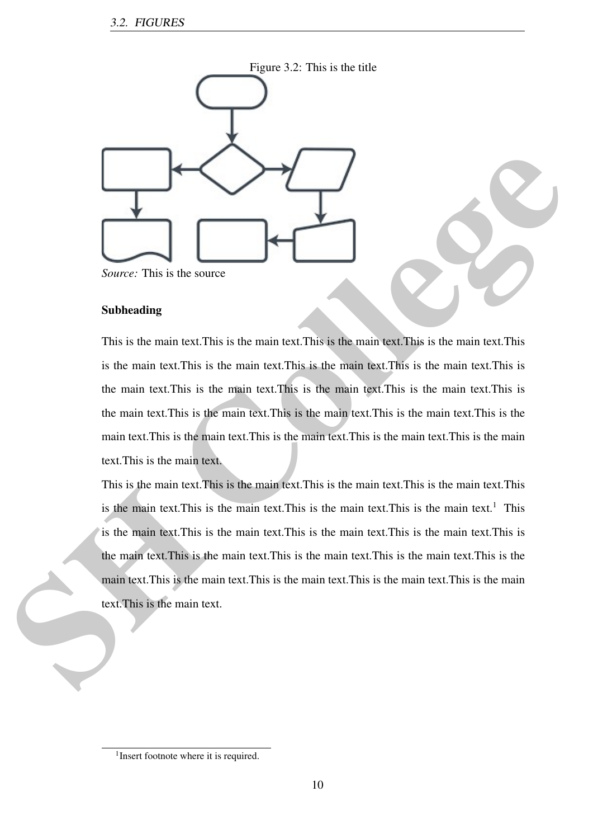

#### Subheading

Source: This is the source<br>
Source: This is the source<br>
Shaheading<br>
This is the main text.<br>This is the main text.<br>This is the main text.<br>This is the main text.<br>This is the main text.<br>This is the main text.<br>This is the main This is the main text.This is the main text.This is the main text.This is the main text.This is the main text.This is the main text.This is the main text.This is the main text.This is the main text.This is the main text.This is the main text.This is the main text.This is the main text.This is the main text.This is the main text.This is the main text.This is the main text.This is the main text.This is the main text.This is the main text.This is the main text.This is the main text.

This is the main text.This is the main text.This is the main text.This is the main text.This is the main text. This is the main text. This is the main text. This is the main text.<sup>1</sup> This is the main text.This is the main text.This is the main text.This is the main text.This is the main text.This is the main text.This is the main text.This is the main text.This is the main text.This is the main text.This is the main text.This is the main text.This is the main text.This is the main text.

<sup>&</sup>lt;sup>1</sup> Insert footnote where it is required.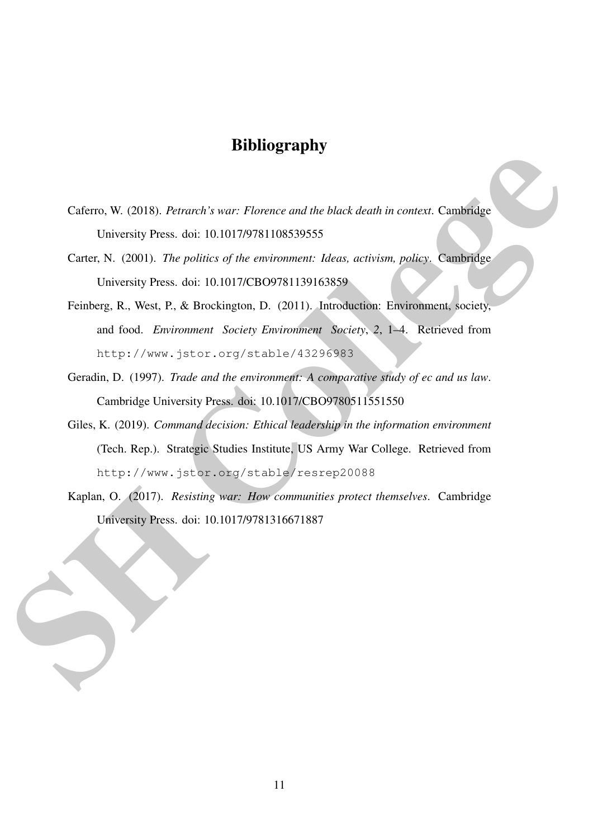## Bibliography

- Caferro, W. (2018). *Petrarch's war: Florence and the black death in context*. Cambridge University Press. doi: 10.1017/9781108539555
- Carter, N. (2001). *The politics of the environment: Ideas, activism, policy*. Cambridge University Press. doi: 10.1017/CBO9781139163859
- **Caferro, W. (2018).** *Perturals is wore: Florence and the black death in connext*. Cambridge<br>
University Press. doi: 10.1017/97811985599555<br>
Carter, N. (2001). The politics of the environment: Ideas, extriction, policy Feinberg, R., West, P., & Brockington, D. (2011). Introduction: Environment, society, and food. *Environment Society Environment Society*, *2*, 1–4. Retrieved from http://www.jstor.org/stable/43296983
	- Geradin, D. (1997). *Trade and the environment: A comparative study of ec and us law*. Cambridge University Press. doi: 10.1017/CBO9780511551550
	- Giles, K. (2019). *Command decision: Ethical leadership in the information environment* (Tech. Rep.). Strategic Studies Institute, US Army War College. Retrieved from http://www.jstor.org/stable/resrep20088
	- Kaplan, O. (2017). *Resisting war: How communities protect themselves*. Cambridge University Press. doi: 10.1017/9781316671887